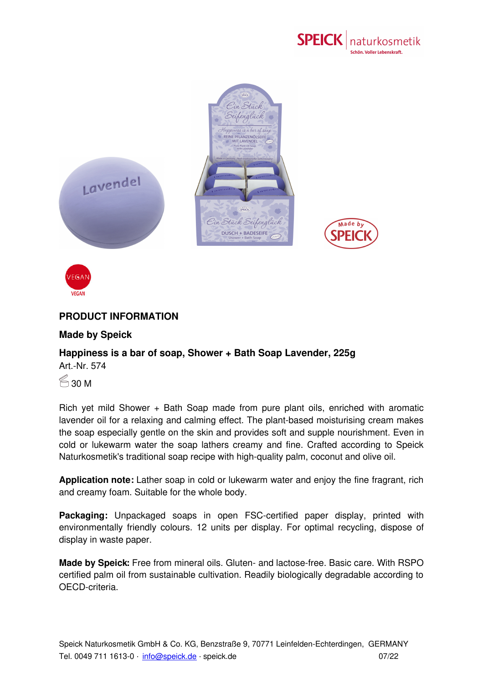



## **PRODUCT INFORMATION**

## **Made by Speick**

## **Happiness is a bar of soap, Shower + Bath Soap Lavender, 225g**

Art.-Nr. 574

VEGAN

 $\approx$  30 M

Rich yet mild Shower + Bath Soap made from pure plant oils, enriched with aromatic lavender oil for a relaxing and calming effect. The plant-based moisturising cream makes the soap especially gentle on the skin and provides soft and supple nourishment. Even in cold or lukewarm water the soap lathers creamy and fine. Crafted according to Speick Naturkosmetik's traditional soap recipe with high-quality palm, coconut and olive oil.

**Application note:** Lather soap in cold or lukewarm water and enjoy the fine fragrant, rich and creamy foam. Suitable for the whole body.

**Packaging:** Unpackaged soaps in open FSC-certified paper display, printed with environmentally friendly colours. 12 units per display. For optimal recycling, dispose of display in waste paper.

**Made by Speick:** Free from mineral oils. Gluten- and lactose-free. Basic care. With RSPO certified palm oil from [sustainable](mailto:info@speick.de) cultivation. Readily biologically degradable according to OECD-criteria.